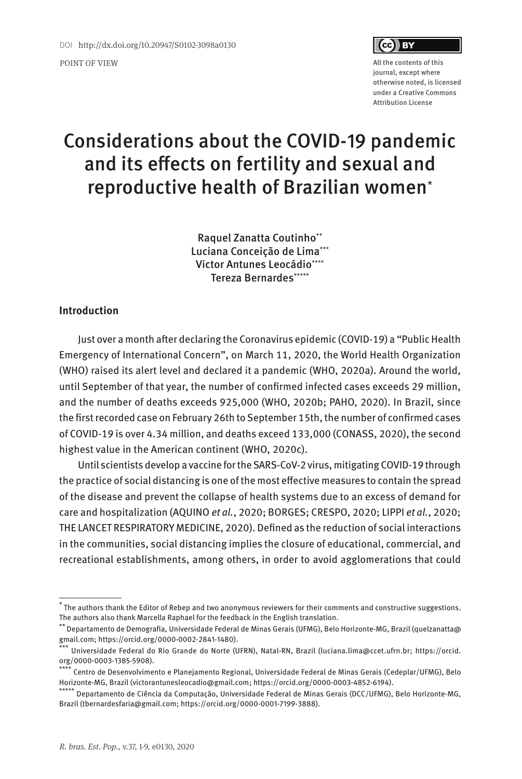

journal, except where otherwise noted, is licensed under a Creative Commons Attribution License

# Considerations about the COVID-19 pandemic and its effects on fertility and sexual and reproductive health of Brazilian women\*

Raquel Zanatta Coutinho\*\* Luciana Conceição de Lima\*\*\* Victor Antunes Leocádio\*\*\*\* Tereza Bernardes\*\*\*\*\*

# **Introduction**

Just over a month after declaring the Coronavirus epidemic (COVID-19) a "Public Health Emergency of International Concern", on March 11, 2020, the World Health Organization (WHO) raised its alert level and declared it a pandemic (WHO, 2020a). Around the world, until September of that year, the number of confirmed infected cases exceeds 29 million, and the number of deaths exceeds 925,000 (WHO, 2020b; PAHO, 2020). In Brazil, since the first recorded case on February 26th to September 15th, the number of confirmed cases of COVID-19 is over 4.34 million, and deaths exceed 133,000 (CONASS, 2020), the second highest value in the American continent (WHO, 2020c).

Until scientists develop a vaccine for the SARS-CoV-2 virus, mitigating COVID-19 through the practice of social distancing is one of the most effective measures to contain the spread of the disease and prevent the collapse of health systems due to an excess of demand for care and hospitalization (AQUINO et al., 2020; BORGES; CRESPO, 2020; LIPPI et al., 2020; THE LANCET RESPIRATORY MEDICINE, 2020). Defined as the reduction of social interactions in the communities, social distancing implies the closure of educational, commercial, and recreational establishments, among others, in order to avoid agglomerations that could

<sup>\*</sup> The authors thank the Editor of Rebep and two anonymous reviewers for their comments and constructive suggestions. The authors also thank Marcella Raphael for the feedback in the English translation.

<sup>\*\*</sup> Departamento de Demografia, Universidade Federal de Minas Gerais (UFMG), Belo Horizonte-MG, Brazil (quelzanatta@ gmail.com; https://orcid.org/0000-0002-2841-1480). \*\*\* Universidade Federal do Rio Grande do Norte (UFRN), Natal-RN, Brazil (luciana.lima@ccet.ufrn.br; https://orcid.

org/0000-0003-1385-5908).

<sup>\*\*\*\*</sup> Centro de Desenvolvimento e Planejamento Regional, Universidade Federal de Minas Gerais (Cedeplar/UFMG), Belo Horizonte-MG, Brazil (victorantunesleocadio@gmail.com; https://orcid.org/0000-0003-4852-6194).

 $^{\star}$  Departamento de Ciência da Computação, Universidade Federal de Minas Gerais (DCC/UFMG), Belo Horizonte-MG, Brazil (tbernardesfaria@gmail.com; https://orcid.org/0000-0001-7199-3888).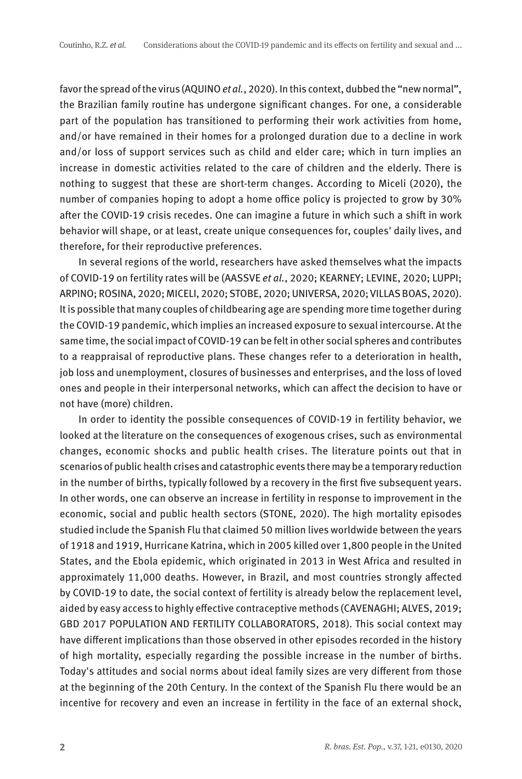favor the spread of the virus (AQUINO et al., 2020). In this context, dubbed the "new normal", the Brazilian family routine has undergone significant changes. For one, a considerable part of the population has transitioned to performing their work activities from home, and/or have remained in their homes for a prolonged duration due to a decline in work and/or loss of support services such as child and elder care; which in turn implies an increase in domestic activities related to the care of children and the elderly. There is nothing to suggest that these are short-term changes. According to Miceli (2020), the number of companies hoping to adopt a home office policy is projected to grow by 30% after the COVID-19 crisis recedes. One can imagine a future in which such a shift in work behavior will shape, or at least, create unique consequences for, couples' daily lives, and therefore, for their reproductive preferences.

In several regions of the world, researchers have asked themselves what the impacts of COVID-19 on fertility rates will be (AASSVE et al., 2020; KEARNEY; LEVINE, 2020; LUPPI; ARPINO; ROSINA, 2020; MICELI, 2020; STOBE, 2020; UNIVERSA, 2020; VILLAS BOAS, 2020). It is possible that many couples of childbearing age are spending more time together during the COVID-19 pandemic, which implies an increased exposure to sexual intercourse. At the same time, the social impact of COVID-19 can be felt in other social spheres and contributes to a reappraisal of reproductive plans. These changes refer to a deterioration in health, job loss and unemployment, closures of businesses and enterprises, and the loss of loved ones and people in their interpersonal networks, which can affect the decision to have or not have (more) children.

In order to identity the possible consequences of COVID-19 in fertility behavior, we looked at the literature on the consequences of exogenous crises, such as environmental changes, economic shocks and public health crises. The literature points out that in scenarios of public health crises and catastrophic events there may be a temporary reduction in the number of births, typically followed by a recovery in the first five subsequent years. In other words, one can observe an increase in fertility in response to improvement in the economic, social and public health sectors (STONE, 2020). The high mortality episodes studied include the Spanish Flu that claimed 50 million lives worldwide between the years of 1918 and 1919, Hurricane Katrina, which in 2005 killed over 1,800 people in the United States, and the Ebola epidemic, which originated in 2013 in West Africa and resulted in approximately 11,000 deaths. However, in Brazil, and most countries strongly affected by COVID-19 to date, the social context of fertility is already below the replacement level, aided by easy access to highly effective contraceptive methods (CAVENAGHI; ALVES, 2019; GBD 2017 POPULATION AND FERTILITY COLLABORATORS, 2018). This social context may have different implications than those observed in other episodes recorded in the history of high mortality, especially regarding the possible increase in the number of births. Today's attitudes and social norms about ideal family sizes are very different from those at the beginning of the 20th Century. In the context of the Spanish Flu there would be an incentive for recovery and even an increase in fertility in the face of an external shock,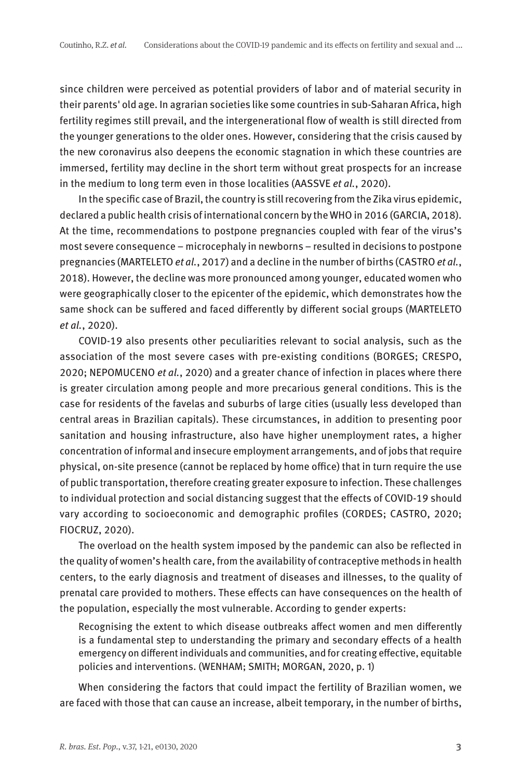since children were perceived as potential providers of labor and of material security in their parents' old age. In agrarian societies like some countries in sub-Saharan Africa, high fertility regimes still prevail, and the intergenerational flow of wealth is still directed from the younger generations to the older ones. However, considering that the crisis caused by the new coronavirus also deepens the economic stagnation in which these countries are immersed, fertility may decline in the short term without great prospects for an increase in the medium to long term even in those localities (AASSVE et al., 2020).

In the specific case of Brazil, the country is still recovering from the Zika virus epidemic, declared a public health crisis of international concern by the WHO in 2016 (GARCIA, 2018). At the time, recommendations to postpone pregnancies coupled with fear of the virus's most severe consequence – microcephaly in newborns – resulted in decisions to postpone pregnancies (MARTELETO et al., 2017) and a decline in the number of births (CASTRO et al., 2018). However, the decline was more pronounced among younger, educated women who were geographically closer to the epicenter of the epidemic, which demonstrates how the same shock can be suffered and faced differently by different social groups (MARTELETO et al., 2020).

COVID-19 also presents other peculiarities relevant to social analysis, such as the association of the most severe cases with pre-existing conditions (BORGES; CRESPO, 2020; NEPOMUCENO et al., 2020) and a greater chance of infection in places where there is greater circulation among people and more precarious general conditions. This is the case for residents of the favelas and suburbs of large cities (usually less developed than central areas in Brazilian capitals). These circumstances, in addition to presenting poor sanitation and housing infrastructure, also have higher unemployment rates, a higher concentration of informal and insecure employment arrangements, and of jobs that require physical, on-site presence (cannot be replaced by home office) that in turn require the use of public transportation, therefore creating greater exposure to infection. These challenges to individual protection and social distancing suggest that the effects of COVID-19 should vary according to socioeconomic and demographic profiles (CORDES; CASTRO, 2020; FIOCRUZ, 2020).

The overload on the health system imposed by the pandemic can also be reflected in the quality of women's health care, from the availability of contraceptive methods in health centers, to the early diagnosis and treatment of diseases and illnesses, to the quality of prenatal care provided to mothers. These effects can have consequences on the health of the population, especially the most vulnerable. According to gender experts:

Recognising the extent to which disease outbreaks affect women and men differently is a fundamental step to understanding the primary and secondary effects of a health emergency on different individuals and communities, and for creating effective, equitable policies and interventions. (WENHAM; SMITH; MORGAN, 2020, p. 1)

When considering the factors that could impact the fertility of Brazilian women, we are faced with those that can cause an increase, albeit temporary, in the number of births,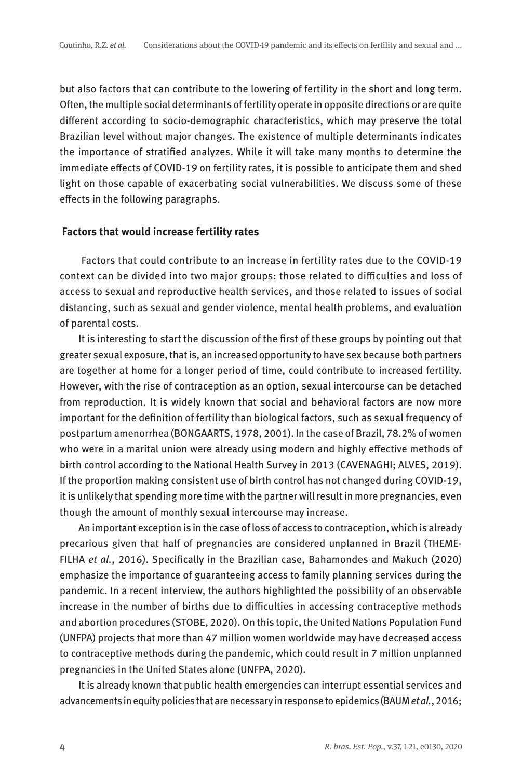but also factors that can contribute to the lowering of fertility in the short and long term. Often, the multiple social determinants of fertility operate in opposite directions or are quite different according to socio-demographic characteristics, which may preserve the total Brazilian level without major changes. The existence of multiple determinants indicates the importance of stratified analyzes. While it will take many months to determine the immediate effects of COVID-19 on fertility rates, it is possible to anticipate them and shed light on those capable of exacerbating social vulnerabilities. We discuss some of these effects in the following paragraphs.

## **Factors that would increase fertility rates**

 Factors that could contribute to an increase in fertility rates due to the COVID-19 context can be divided into two major groups: those related to difficulties and loss of access to sexual and reproductive health services, and those related to issues of social distancing, such as sexual and gender violence, mental health problems, and evaluation of parental costs.

It is interesting to start the discussion of the first of these groups by pointing out that greater sexual exposure, that is, an increased opportunity to have sex because both partners are together at home for a longer period of time, could contribute to increased fertility. However, with the rise of contraception as an option, sexual intercourse can be detached from reproduction. It is widely known that social and behavioral factors are now more important for the definition of fertility than biological factors, such as sexual frequency of postpartum amenorrhea (BONGAARTS, 1978, 2001). In the case of Brazil, 78.2% of women who were in a marital union were already using modern and highly effective methods of birth control according to the National Health Survey in 2013 (CAVENAGHI; ALVES, 2019). If the proportion making consistent use of birth control has not changed during COVID-19, it is unlikely that spending more time with the partner will result in more pregnancies, even though the amount of monthly sexual intercourse may increase.

An important exception is in the case of loss of access to contraception, which is already precarious given that half of pregnancies are considered unplanned in Brazil (THEME-FILHA et al., 2016). Specifically in the Brazilian case, Bahamondes and Makuch (2020) emphasize the importance of guaranteeing access to family planning services during the pandemic. In a recent interview, the authors highlighted the possibility of an observable increase in the number of births due to difficulties in accessing contraceptive methods and abortion procedures (STOBE, 2020). On this topic, the United Nations Population Fund (UNFPA) projects that more than 47 million women worldwide may have decreased access to contraceptive methods during the pandemic, which could result in 7 million unplanned pregnancies in the United States alone (UNFPA, 2020).

It is already known that public health emergencies can interrupt essential services and advancements in equity policies that are necessary in response to epidemics (BAUM et al., 2016;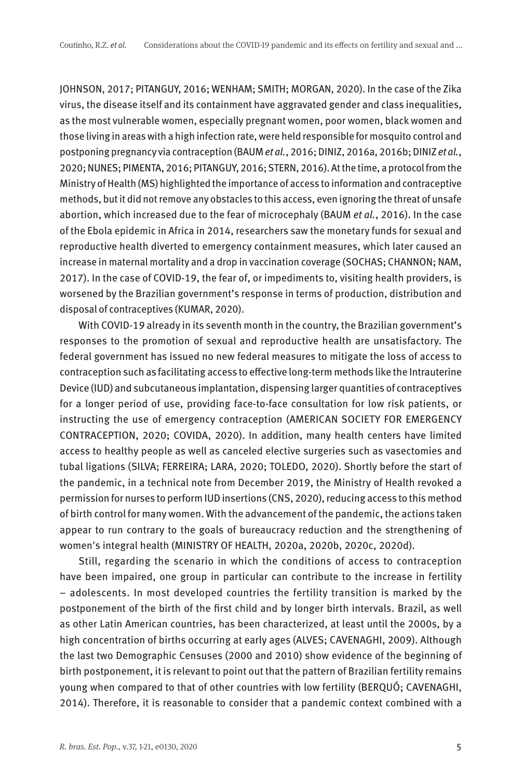JOHNSON, 2017; PITANGUY, 2016; WENHAM; SMITH; MORGAN, 2020). In the case of the Zika virus, the disease itself and its containment have aggravated gender and class inequalities, as the most vulnerable women, especially pregnant women, poor women, black women and those living in areas with a high infection rate, were held responsible for mosquito control and postponing pregnancy via contraception (BAUM et al., 2016; DINIZ, 2016a, 2016b; DINIZ et al., 2020; NUNES; PIMENTA, 2016; PITANGUY, 2016; STERN, 2016). At the time, a protocol from the Ministry of Health (MS) highlighted the importance of access to information and contraceptive methods, but it did not remove any obstacles to this access, even ignoring the threat of unsafe abortion, which increased due to the fear of microcephaly (BAUM et al., 2016). In the case of the Ebola epidemic in Africa in 2014, researchers saw the monetary funds for sexual and reproductive health diverted to emergency containment measures, which later caused an increase in maternal mortality and a drop in vaccination coverage (SOCHAS; CHANNON; NAM, 2017). In the case of COVID-19, the fear of, or impediments to, visiting health providers, is worsened by the Brazilian government's response in terms of production, distribution and disposal of contraceptives (KUMAR, 2020).

With COVID-19 already in its seventh month in the country, the Brazilian government's responses to the promotion of sexual and reproductive health are unsatisfactory. The federal government has issued no new federal measures to mitigate the loss of access to contraception such as facilitating access to effective long-term methods like the Intrauterine Device (IUD) and subcutaneous implantation, dispensing larger quantities of contraceptives for a longer period of use, providing face-to-face consultation for low risk patients, or instructing the use of emergency contraception (AMERICAN SOCIETY FOR EMERGENCY CONTRACEPTION, 2020; COVIDA, 2020). In addition, many health centers have limited access to healthy people as well as canceled elective surgeries such as vasectomies and tubal ligations (SILVA; FERREIRA; LARA, 2020; TOLEDO, 2020). Shortly before the start of the pandemic, in a technical note from December 2019, the Ministry of Health revoked a permission for nurses to perform IUD insertions (CNS, 2020), reducing access to this method of birth control for many women. With the advancement of the pandemic, the actions taken appear to run contrary to the goals of bureaucracy reduction and the strengthening of women's integral health (MINISTRY OF HEALTH, 2020a, 2020b, 2020c, 2020d).

Still, regarding the scenario in which the conditions of access to contraception have been impaired, one group in particular can contribute to the increase in fertility – adolescents. In most developed countries the fertility transition is marked by the postponement of the birth of the first child and by longer birth intervals. Brazil, as well as other Latin American countries, has been characterized, at least until the 2000s, by a high concentration of births occurring at early ages (ALVES; CAVENAGHI, 2009). Although the last two Demographic Censuses (2000 and 2010) show evidence of the beginning of birth postponement, it is relevant to point out that the pattern of Brazilian fertility remains young when compared to that of other countries with low fertility (BERQUÓ; CAVENAGHI, 2014). Therefore, it is reasonable to consider that a pandemic context combined with a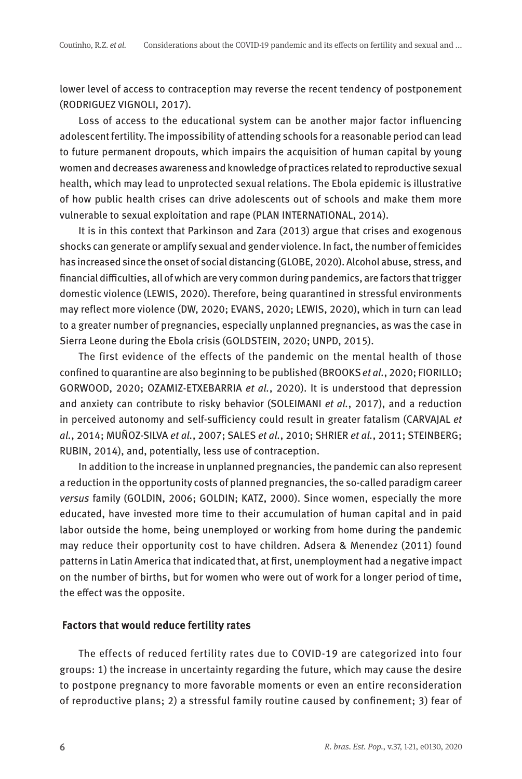lower level of access to contraception may reverse the recent tendency of postponement (RODRIGUEZ VIGNOLI, 2017).

Loss of access to the educational system can be another major factor influencing adolescent fertility. The impossibility of attending schools for a reasonable period can lead to future permanent dropouts, which impairs the acquisition of human capital by young women and decreases awareness and knowledge of practices related to reproductive sexual health, which may lead to unprotected sexual relations. The Ebola epidemic is illustrative of how public health crises can drive adolescents out of schools and make them more vulnerable to sexual exploitation and rape (PLAN INTERNATIONAL, 2014).

It is in this context that Parkinson and Zara (2013) argue that crises and exogenous shocks can generate or amplify sexual and gender violence. In fact, the number of femicides has increased since the onset of social distancing (GLOBE, 2020). Alcohol abuse, stress, and financial difficulties, all of which are very common during pandemics, are factors that trigger domestic violence (LEWIS, 2020). Therefore, being quarantined in stressful environments may reflect more violence (DW, 2020; EVANS, 2020; LEWIS, 2020), which in turn can lead to a greater number of pregnancies, especially unplanned pregnancies, as was the case in Sierra Leone during the Ebola crisis (GOLDSTEIN, 2020; UNPD, 2015).

The first evidence of the effects of the pandemic on the mental health of those confined to quarantine are also beginning to be published (BROOKS et al., 2020; FIORILLO; GORWOOD, 2020; OZAMIZ-ETXEBARRIA et al., 2020). It is understood that depression and anxiety can contribute to risky behavior (SOLEIMANI et al., 2017), and a reduction in perceived autonomy and self-sufficiency could result in greater fatalism (CARVAJAL et al., 2014; MUÑOZ-SILVA et al., 2007; SALES et al., 2010; SHRIER et al., 2011; STEINBERG; RUBIN, 2014), and, potentially, less use of contraception.

In addition to the increase in unplanned pregnancies, the pandemic can also represent a reduction in the opportunity costs of planned pregnancies, the so-called paradigm career versus family (GOLDIN, 2006; GOLDIN; KATZ, 2000). Since women, especially the more educated, have invested more time to their accumulation of human capital and in paid labor outside the home, being unemployed or working from home during the pandemic may reduce their opportunity cost to have children. Adsera & Menendez (2011) found patterns in Latin America that indicated that, at first, unemployment had a negative impact on the number of births, but for women who were out of work for a longer period of time, the effect was the opposite.

## **Factors that would reduce fertility rates**

The effects of reduced fertility rates due to COVID-19 are categorized into four groups: 1) the increase in uncertainty regarding the future, which may cause the desire to postpone pregnancy to more favorable moments or even an entire reconsideration of reproductive plans; 2) a stressful family routine caused by confinement; 3) fear of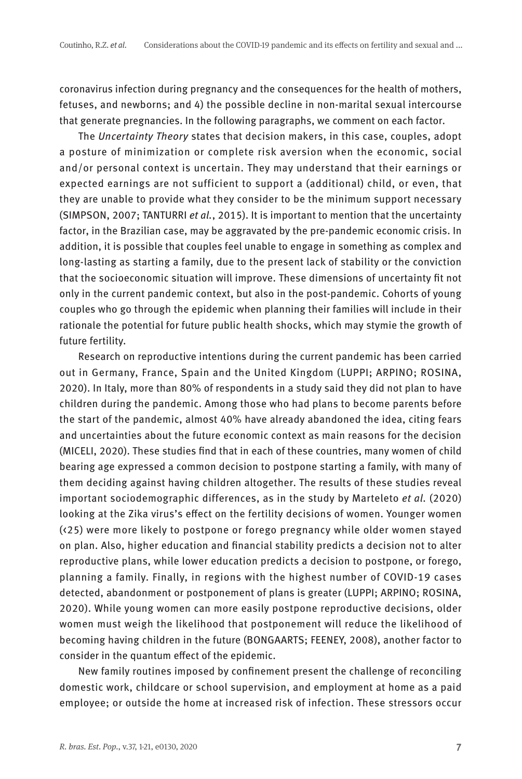coronavirus infection during pregnancy and the consequences for the health of mothers, fetuses, and newborns; and 4) the possible decline in non-marital sexual intercourse that generate pregnancies. In the following paragraphs, we comment on each factor.

The Uncertainty Theory states that decision makers, in this case, couples, adopt a posture of minimization or complete risk aversion when the economic, social and/or personal context is uncertain. They may understand that their earnings or expected earnings are not sufficient to support a (additional) child, or even, that they are unable to provide what they consider to be the minimum support necessary (SIMPSON, 2007; TANTURRI et al., 2015). It is important to mention that the uncertainty factor, in the Brazilian case, may be aggravated by the pre-pandemic economic crisis. In addition, it is possible that couples feel unable to engage in something as complex and long-lasting as starting a family, due to the present lack of stability or the conviction that the socioeconomic situation will improve. These dimensions of uncertainty fit not only in the current pandemic context, but also in the post-pandemic. Cohorts of young couples who go through the epidemic when planning their families will include in their rationale the potential for future public health shocks, which may stymie the growth of future fertility.

Research on reproductive intentions during the current pandemic has been carried out in Germany, France, Spain and the United Kingdom (LUPPI; ARPINO; ROSINA, 2020). In Italy, more than 80% of respondents in a study said they did not plan to have children during the pandemic. Among those who had plans to become parents before the start of the pandemic, almost 40% have already abandoned the idea, citing fears and uncertainties about the future economic context as main reasons for the decision (MICELI, 2020). These studies find that in each of these countries, many women of child bearing age expressed a common decision to postpone starting a family, with many of them deciding against having children altogether. The results of these studies reveal important sociodemographic differences, as in the study by Marteleto et al. (2020) looking at the Zika virus's effect on the fertility decisions of women. Younger women (<25) were more likely to postpone or forego pregnancy while older women stayed on plan. Also, higher education and financial stability predicts a decision not to alter reproductive plans, while lower education predicts a decision to postpone, or forego, planning a family. Finally, in regions with the highest number of COVID-19 cases detected, abandonment or postponement of plans is greater (LUPPI; ARPINO; ROSINA, 2020). While young women can more easily postpone reproductive decisions, older women must weigh the likelihood that postponement will reduce the likelihood of becoming having children in the future (BONGAARTS; FEENEY, 2008), another factor to consider in the quantum effect of the epidemic.

New family routines imposed by confinement present the challenge of reconciling domestic work, childcare or school supervision, and employment at home as a paid employee; or outside the home at increased risk of infection. These stressors occur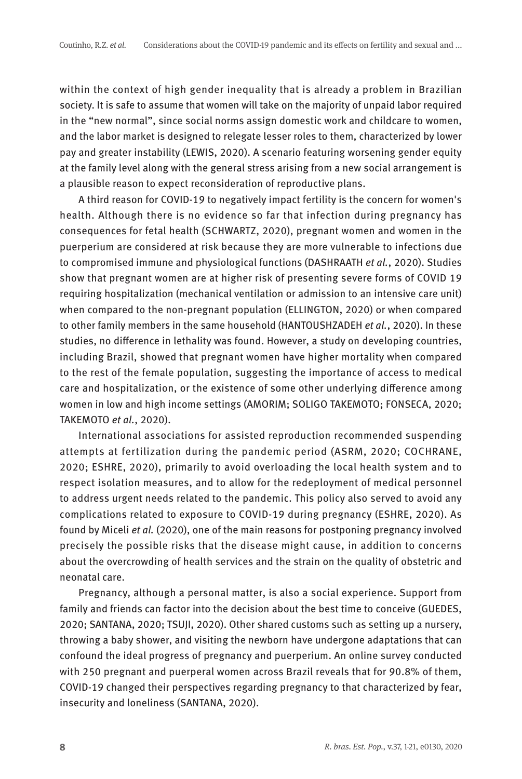within the context of high gender inequality that is already a problem in Brazilian society. It is safe to assume that women will take on the majority of unpaid labor required in the "new normal", since social norms assign domestic work and childcare to women, and the labor market is designed to relegate lesser roles to them, characterized by lower pay and greater instability (LEWIS, 2020). A scenario featuring worsening gender equity at the family level along with the general stress arising from a new social arrangement is a plausible reason to expect reconsideration of reproductive plans.

A third reason for COVID-19 to negatively impact fertility is the concern for women's health. Although there is no evidence so far that infection during pregnancy has consequences for fetal health (SCHWARTZ, 2020), pregnant women and women in the puerperium are considered at risk because they are more vulnerable to infections due to compromised immune and physiological functions (DASHRAATH et al., 2020). Studies show that pregnant women are at higher risk of presenting severe forms of COVID 19 requiring hospitalization (mechanical ventilation or admission to an intensive care unit) when compared to the non-pregnant population (ELLINGTON, 2020) or when compared to other family members in the same household (HANTOUSHZADEH et al., 2020). In these studies, no difference in lethality was found. However, a study on developing countries, including Brazil, showed that pregnant women have higher mortality when compared to the rest of the female population, suggesting the importance of access to medical care and hospitalization, or the existence of some other underlying difference among women in low and high income settings (AMORIM; SOLIGO TAKEMOTO; FONSECA, 2020; TAKEMOTO et al., 2020).

International associations for assisted reproduction recommended suspending attempts at fertilization during the pandemic period (ASRM, 2020; COCHRANE, 2020; ESHRE, 2020), primarily to avoid overloading the local health system and to respect isolation measures, and to allow for the redeployment of medical personnel to address urgent needs related to the pandemic. This policy also served to avoid any complications related to exposure to COVID-19 during pregnancy (ESHRE, 2020). As found by Miceli et al. (2020), one of the main reasons for postponing pregnancy involved precisely the possible risks that the disease might cause, in addition to concerns about the overcrowding of health services and the strain on the quality of obstetric and neonatal care.

Pregnancy, although a personal matter, is also a social experience. Support from family and friends can factor into the decision about the best time to conceive (GUEDES, 2020; SANTANA, 2020; TSUJI, 2020). Other shared customs such as setting up a nursery, throwing a baby shower, and visiting the newborn have undergone adaptations that can confound the ideal progress of pregnancy and puerperium. An online survey conducted with 250 pregnant and puerperal women across Brazil reveals that for 90.8% of them, COVID-19 changed their perspectives regarding pregnancy to that characterized by fear, insecurity and loneliness (SANTANA, 2020).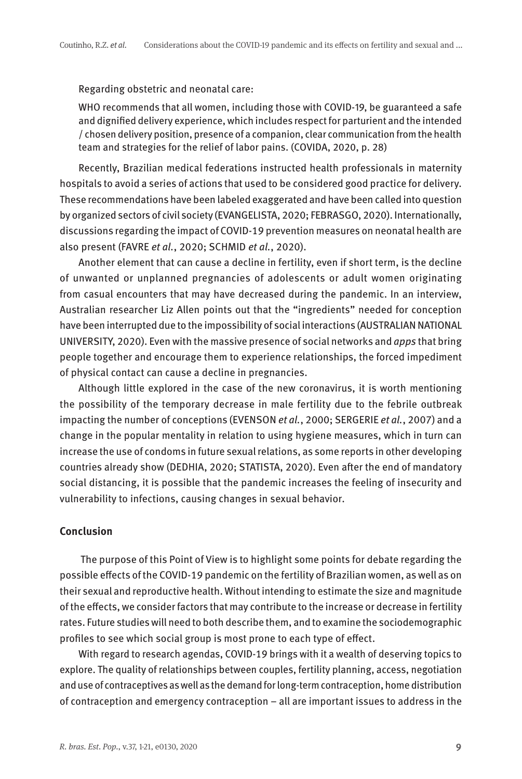## Regarding obstetric and neonatal care:

WHO recommends that all women, including those with COVID-19, be guaranteed a safe and dignified delivery experience, which includes respect for parturient and the intended / chosen delivery position, presence of a companion, clear communication from the health team and strategies for the relief of labor pains. (COVIDA, 2020, p. 28)

Recently, Brazilian medical federations instructed health professionals in maternity hospitals to avoid a series of actions that used to be considered good practice for delivery. These recommendations have been labeled exaggerated and have been called into question by organized sectors of civil society (EVANGELISTA, 2020; FEBRASGO, 2020). Internationally, discussions regarding the impact of COVID-19 prevention measures on neonatal health are also present (FAVRE et al., 2020; SCHMID et al., 2020).

Another element that can cause a decline in fertility, even if short term, is the decline of unwanted or unplanned pregnancies of adolescents or adult women originating from casual encounters that may have decreased during the pandemic. In an interview, Australian researcher Liz Allen points out that the "ingredients" needed for conception have been interrupted due to the impossibility of social interactions (AUSTRALIAN NATIONAL UNIVERSITY, 2020). Even with the massive presence of social networks and apps that bring people together and encourage them to experience relationships, the forced impediment of physical contact can cause a decline in pregnancies.

Although little explored in the case of the new coronavirus, it is worth mentioning the possibility of the temporary decrease in male fertility due to the febrile outbreak impacting the number of conceptions (EVENSON et al., 2000; SERGERIE et al., 2007) and a change in the popular mentality in relation to using hygiene measures, which in turn can increase the use of condoms in future sexual relations, as some reports in other developing countries already show (DEDHIA, 2020; STATISTA, 2020). Even after the end of mandatory social distancing, it is possible that the pandemic increases the feeling of insecurity and vulnerability to infections, causing changes in sexual behavior.

## **Conclusion**

 The purpose of this Point of View is to highlight some points for debate regarding the possible effects of the COVID-19 pandemic on the fertility of Brazilian women, as well as on their sexual and reproductive health. Without intending to estimate the size and magnitude of the effects, we consider factors that may contribute to the increase or decrease in fertility rates. Future studies will need to both describe them, and to examine the sociodemographic profiles to see which social group is most prone to each type of effect.

With regard to research agendas, COVID-19 brings with it a wealth of deserving topics to explore. The quality of relationships between couples, fertility planning, access, negotiation and use of contraceptives as well as the demand for long-term contraception, home distribution of contraception and emergency contraception – all are important issues to address in the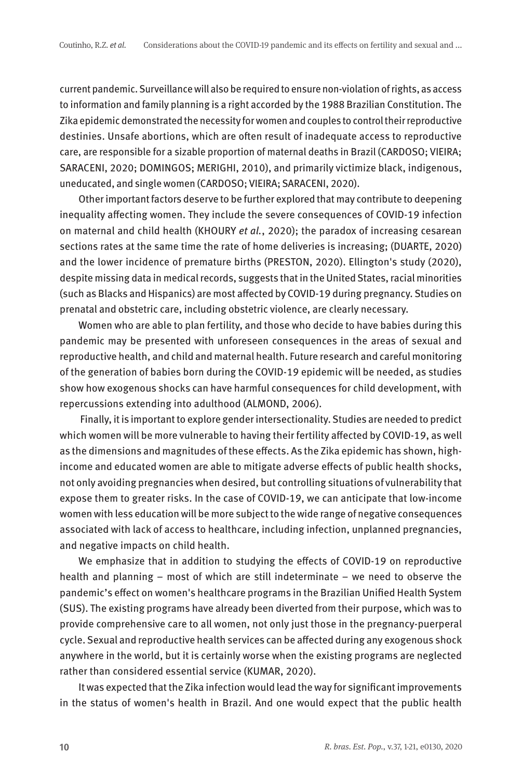current pandemic. Surveillance will also be required to ensure non-violation of rights, as access to information and family planning is a right accorded by the 1988 Brazilian Constitution. The Zika epidemic demonstrated the necessity for women and couples to control their reproductive destinies. Unsafe abortions, which are often result of inadequate access to reproductive care, are responsible for a sizable proportion of maternal deaths in Brazil (CARDOSO; VIEIRA; SARACENI, 2020; DOMINGOS; MERIGHI, 2010), and primarily victimize black, indigenous, uneducated, and single women (CARDOSO; VIEIRA; SARACENI, 2020).

Other important factors deserve to be further explored that may contribute to deepening inequality affecting women. They include the severe consequences of COVID-19 infection on maternal and child health (KHOURY et al., 2020); the paradox of increasing cesarean sections rates at the same time the rate of home deliveries is increasing; (DUARTE, 2020) and the lower incidence of premature births (PRESTON, 2020). Ellington's study (2020), despite missing data in medical records, suggests that in the United States, racial minorities (such as Blacks and Hispanics) are most affected by COVID-19 during pregnancy. Studies on prenatal and obstetric care, including obstetric violence, are clearly necessary.

Women who are able to plan fertility, and those who decide to have babies during this pandemic may be presented with unforeseen consequences in the areas of sexual and reproductive health, and child and maternal health. Future research and careful monitoring of the generation of babies born during the COVID-19 epidemic will be needed, as studies show how exogenous shocks can have harmful consequences for child development, with repercussions extending into adulthood (ALMOND, 2006).

 Finally, it is important to explore gender intersectionality. Studies are needed to predict which women will be more vulnerable to having their fertility affected by COVID-19, as well as the dimensions and magnitudes of these effects. As the Zika epidemic has shown, highincome and educated women are able to mitigate adverse effects of public health shocks, not only avoiding pregnancies when desired, but controlling situations of vulnerability that expose them to greater risks. In the case of COVID-19, we can anticipate that low-income women with less education will be more subject to the wide range of negative consequences associated with lack of access to healthcare, including infection, unplanned pregnancies, and negative impacts on child health.

We emphasize that in addition to studying the effects of COVID-19 on reproductive health and planning – most of which are still indeterminate – we need to observe the pandemic's effect on women's healthcare programs in the Brazilian Unified Health System (SUS). The existing programs have already been diverted from their purpose, which was to provide comprehensive care to all women, not only just those in the pregnancy-puerperal cycle. Sexual and reproductive health services can be affected during any exogenous shock anywhere in the world, but it is certainly worse when the existing programs are neglected rather than considered essential service (KUMAR, 2020).

It was expected that the Zika infection would lead the way for significant improvements in the status of women's health in Brazil. And one would expect that the public health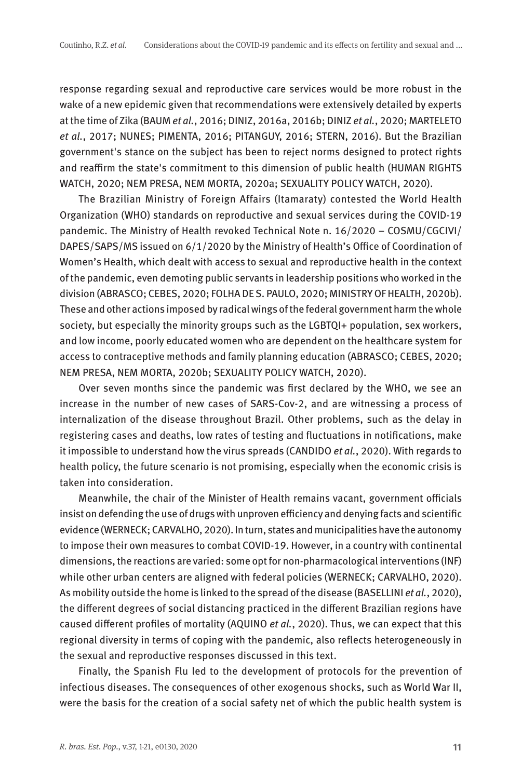response regarding sexual and reproductive care services would be more robust in the wake of a new epidemic given that recommendations were extensively detailed by experts at the time of Zika (BAUM et al., 2016; DINIZ, 2016a, 2016b; DINIZ et al., 2020; MARTELETO et al., 2017; NUNES; PIMENTA, 2016; PITANGUY, 2016; STERN, 2016). But the Brazilian government's stance on the subject has been to reject norms designed to protect rights and reaffirm the state's commitment to this dimension of public health (HUMAN RIGHTS WATCH, 2020; NEM PRESA, NEM MORTA, 2020a; SEXUALITY POLICY WATCH, 2020).

The Brazilian Ministry of Foreign Affairs (Itamaraty) contested the World Health Organization (WHO) standards on reproductive and sexual services during the COVID-19 pandemic. The Ministry of Health revoked Technical Note n. 16/2020 – COSMU/CGCIVI/ DAPES/SAPS/MS issued on 6/1/2020 by the Ministry of Health's Office of Coordination of Women's Health, which dealt with access to sexual and reproductive health in the context of the pandemic, even demoting public servants in leadership positions who worked in the division (ABRASCO; CEBES, 2020; FOLHA DE S. PAULO, 2020; MINISTRY OF HEALTH, 2020b). These and other actions imposed by radical wings of the federal government harm the whole society, but especially the minority groups such as the LGBTQI+ population, sex workers, and low income, poorly educated women who are dependent on the healthcare system for access to contraceptive methods and family planning education (ABRASCO; CEBES, 2020; NEM PRESA, NEM MORTA, 2020b; SEXUALITY POLICY WATCH, 2020).

Over seven months since the pandemic was first declared by the WHO, we see an increase in the number of new cases of SARS-Cov-2, and are witnessing a process of internalization of the disease throughout Brazil. Other problems, such as the delay in registering cases and deaths, low rates of testing and fluctuations in notifications, make it impossible to understand how the virus spreads (CANDIDO et al., 2020). With regards to health policy, the future scenario is not promising, especially when the economic crisis is taken into consideration.

Meanwhile, the chair of the Minister of Health remains vacant, government officials insist on defending the use of drugs with unproven efficiency and denying facts and scientific evidence (WERNECK; CARVALHO, 2020). In turn, states and municipalities have the autonomy to impose their own measures to combat COVID-19. However, in a country with continental dimensions, the reactions are varied: some opt for non-pharmacological interventions (INF) while other urban centers are aligned with federal policies (WERNECK; CARVALHO, 2020). As mobility outside the home is linked to the spread of the disease (BASELLINI *et al.*, 2020), the different degrees of social distancing practiced in the different Brazilian regions have caused different profiles of mortality (AQUINO et al., 2020). Thus, we can expect that this regional diversity in terms of coping with the pandemic, also reflects heterogeneously in the sexual and reproductive responses discussed in this text.

Finally, the Spanish Flu led to the development of protocols for the prevention of infectious diseases. The consequences of other exogenous shocks, such as World War II, were the basis for the creation of a social safety net of which the public health system is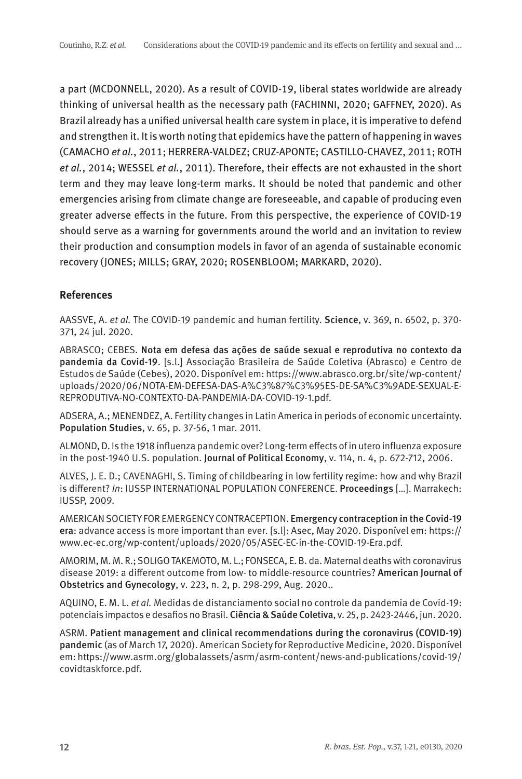a part (MCDONNELL, 2020). As a result of COVID-19, liberal states worldwide are already thinking of universal health as the necessary path (FACHINNI, 2020; GAFFNEY, 2020). As Brazil already has a unified universal health care system in place, it is imperative to defend and strengthen it. It is worth noting that epidemics have the pattern of happening in waves (CAMACHO et al., 2011; HERRERA-VALDEZ; CRUZ-APONTE; CASTILLO-CHAVEZ, 2011; ROTH et al., 2014; WESSEL et al., 2011). Therefore, their effects are not exhausted in the short term and they may leave long-term marks. It should be noted that pandemic and other emergencies arising from climate change are foreseeable, and capable of producing even greater adverse effects in the future. From this perspective, the experience of COVID-19 should serve as a warning for governments around the world and an invitation to review their production and consumption models in favor of an agenda of sustainable economic recovery (JONES; MILLS; GRAY, 2020; ROSENBLOOM; MARKARD, 2020).

# **References**

AASSVE, A. et al. The COVID-19 pandemic and human fertility. Science, v. 369, n. 6502, p. 370- 371, 24 jul. 2020.

ABRASCO; CEBES. Nota em defesa das ações de saúde sexual e reprodutiva no contexto da pandemia da Covid-19. [s.l.] Associação Brasileira de Saúde Coletiva (Abrasco) e Centro de Estudos de Saúde (Cebes), 2020. Disponível em: https://www.abrasco.org.br/site/wp-content/ uploads/2020/06/NOTA-EM-DEFESA-DAS-A%C3%87%C3%95ES-DE-SA%C3%9ADE-SEXUAL-E-REPRODUTIVA-NO-CONTEXTO-DA-PANDEMIA-DA-COVID-19-1.pdf.

ADSERA, A.; MENENDEZ, A. Fertility changes in Latin America in periods of economic uncertainty. Population Studies, v. 65, p. 37-56, 1 mar. 2011.

ALMOND, D. Is the 1918 influenza pandemic over? Long-term effects of in utero influenza exposure in the post-1940 U.S. population. Journal of Political Economy, v. 114, n. 4, p. 672-712, 2006.

ALVES, J. E. D.; CAVENAGHI, S. Timing of childbearing in low fertility regime: how and why Brazil is different? In: IUSSP INTERNATIONAL POPULATION CONFERENCE. Proceedings […]. Marrakech: IUSSP, 2009.

AMERICAN SOCIETY FOR EMERGENCY CONTRACEPTION. Emergency contraception in the Covid-19 era: advance access is more important than ever. [s.l]: Asec, May 2020. Disponível em: https:// www.ec-ec.org/wp-content/uploads/2020/05/ASEC-EC-in-the-COVID-19-Era.pdf.

AMORIM, M. M. R.; SOLIGO TAKEMOTO, M. L.; FONSECA, E. B. da. Maternal deaths with coronavirus disease 2019: a different outcome from low- to middle-resource countries? American Journal of Obstetrics and Gynecology, v. 223, n. 2, p. 298-299, Aug. 2020..

AQUINO, E. M. L. et al. Medidas de distanciamento social no controle da pandemia de Covid-19: potenciais impactos e desafios no Brasil. Ciência & Saúde Coletiva, v. 25, p. 2423-2446, jun. 2020.

ASRM. Patient management and clinical recommendations during the coronavirus (COVID-19) pandemic (as of March 17, 2020). American Society for Reproductive Medicine, 2020. Disponível em: https://www.asrm.org/globalassets/asrm/asrm-content/news-and-publications/covid-19/ covidtaskforce.pdf.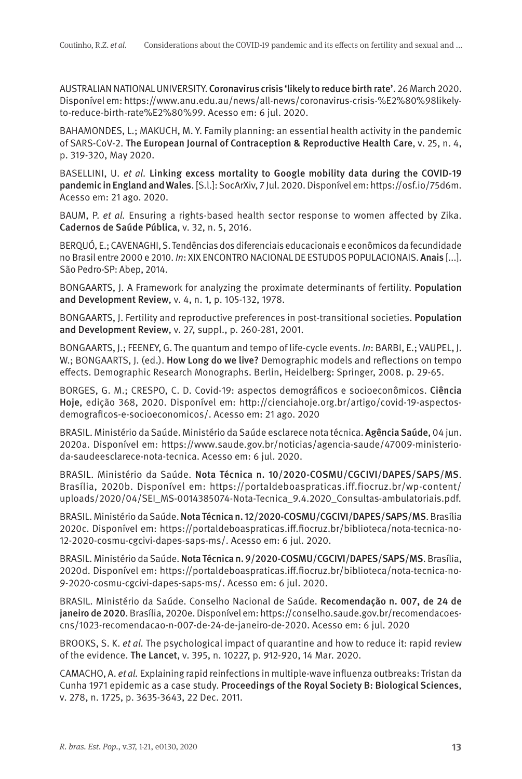AUSTRALIAN NATIONAL UNIVERSITY. Coronavirus crisis 'likely to reduce birth rate'. 26 March 2020. Disponível em: https://www.anu.edu.au/news/all-news/coronavirus-crisis-%E2%80%98likelyto-reduce-birth-rate%E2%80%99. Acesso em: 6 jul. 2020.

BAHAMONDES, L.; MAKUCH, M. Y. Family planning: an essential health activity in the pandemic of SARS-CoV-2. The European Journal of Contraception & Reproductive Health Care, v. 25, n. 4, p. 319-320, May 2020.

BASELLINI, U. et al. Linking excess mortality to Google mobility data during the COVID-19 pandemic in England and Wales. [S.l.]: SocArXiv, 7 Jul. 2020. Disponível em: https://osf.io/75d6m. Acesso em: 21 ago. 2020.

BAUM, P. et al. Ensuring a rights-based health sector response to women affected by Zika. Cadernos de Saúde Pública, v. 32, n. 5, 2016.

BERQUÓ, E.; CAVENAGHI, S. Tendências dos diferenciais educacionais e econômicos da fecundidade no Brasil entre 2000 e 2010. In: XIX ENCONTRO NACIONAL DE ESTUDOS POPULACIONAIS. Anais [...]. São Pedro-SP: Abep, 2014.

BONGAARTS, J. A Framework for analyzing the proximate determinants of fertility. Population and Development Review, v. 4, n. 1, p. 105-132, 1978.

BONGAARTS, J. Fertility and reproductive preferences in post-transitional societies. Population and Development Review, v. 27, suppl., p. 260-281, 2001.

BONGAARTS, J.; FEENEY, G. The quantum and tempo of life-cycle events. In: BARBI, E.; VAUPEL, J. W.; BONGAARTS, J. (ed.). How Long do we live? Demographic models and reflections on tempo effects. Demographic Research Monographs. Berlin, Heidelberg: Springer, 2008. p. 29-65.

BORGES, G. M.; CRESPO, C. D. Covid-19: aspectos demográficos e socioeconômicos. Ciência Hoje, edição 368, 2020. Disponível em: http://cienciahoje.org.br/artigo/covid-19-aspectosdemograficos-e-socioeconomicos/. Acesso em: 21 ago. 2020

BRASIL. Ministério da Saúde. Ministério da Saúde esclarece nota técnica. Agência Saúde, 04 jun. 2020a. Disponível em: https://www.saude.gov.br/noticias/agencia-saude/47009-ministerioda-saudeesclarece-nota-tecnica. Acesso em: 6 jul. 2020.

BRASIL. Ministério da Saúde. Nota Técnica n. 10/2020-COSMU/CGCIVI/DAPES/SAPS/MS. Brasília, 2020b. Disponível em: https://portaldeboaspraticas.iff.fiocruz.br/wp-content/ uploads/2020/04/SEI\_MS-0014385074-Nota-Tecnica\_9.4.2020\_Consultas-ambulatoriais.pdf.

BRASIL. Ministério da Saúde. Nota Técnica n. 12/2020-COSMU/CGCIVI/DAPES/SAPS/MS. Brasília 2020c. Disponível em: https://portaldeboaspraticas.iff.fiocruz.br/biblioteca/nota-tecnica-no-12-2020-cosmu-cgcivi-dapes-saps-ms/. Acesso em: 6 jul. 2020.

BRASIL. Ministério da Saúde. Nota Técnica n. 9/2020-COSMU/CGCIVI/DAPES/SAPS/MS. Brasília, 2020d. Disponível em: https://portaldeboaspraticas.iff.fiocruz.br/biblioteca/nota-tecnica-no-9-2020-cosmu-cgcivi-dapes-saps-ms/. Acesso em: 6 jul. 2020.

BRASIL. Ministério da Saúde. Conselho Nacional de Saúde. Recomendação n. 007, de 24 de janeiro de 2020. Brasília, 2020e. Disponível em: https://conselho.saude.gov.br/recomendacoescns/1023-recomendacao-n-007-de-24-de-janeiro-de-2020. Acesso em: 6 jul. 2020

BROOKS, S. K. et al. The psychological impact of quarantine and how to reduce it: rapid review of the evidence. The Lancet, v. 395, n. 10227, p. 912-920, 14 Mar. 2020.

CAMACHO, A. et al. Explaining rapid reinfections in multiple-wave influenza outbreaks: Tristan da Cunha 1971 epidemic as a case study. Proceedings of the Royal Society B: Biological Sciences, v. 278, n. 1725, p. 3635-3643, 22 Dec. 2011.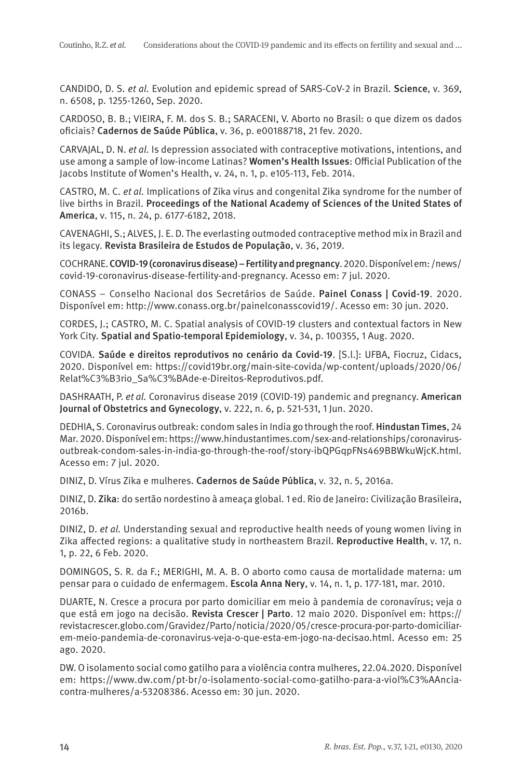CANDIDO, D. S. et al. Evolution and epidemic spread of SARS-CoV-2 in Brazil. Science, v. 369, n. 6508, p. 1255-1260, Sep. 2020.

CARDOSO, B. B.; VIEIRA, F. M. dos S. B.; SARACENI, V. Aborto no Brasil: o que dizem os dados oficiais? Cadernos de Saúde Pública, v. 36, p. e00188718, 21 fev. 2020.

CARVAJAL, D. N. et al. Is depression associated with contraceptive motivations, intentions, and use among a sample of low-income Latinas? Women's Health Issues: Official Publication of the Jacobs Institute of Women's Health, v. 24, n. 1, p. e105-113, Feb. 2014.

CASTRO, M. C. et al. Implications of Zika virus and congenital Zika syndrome for the number of live births in Brazil. Proceedings of the National Academy of Sciences of the United States of America, v. 115, n. 24, p. 6177-6182, 2018.

CAVENAGHI, S.; ALVES, J. E. D. The everlasting outmoded contraceptive method mix in Brazil and its legacy. Revista Brasileira de Estudos de População, v. 36, 2019.

COCHRANE. COVID-19 (coronavirus disease) – Fertility and pregnancy. 2020. Disponível em: /news/ covid-19-coronavirus-disease-fertility-and-pregnancy. Acesso em: 7 jul. 2020.

CONASS – Conselho Nacional dos Secretários de Saúde. Painel Conass | Covid-19. 2020. Disponível em: http://www.conass.org.br/painelconasscovid19/. Acesso em: 30 jun. 2020.

CORDES, J.; CASTRO, M. C. Spatial analysis of COVID-19 clusters and contextual factors in New York City. Spatial and Spatio-temporal Epidemiology, v. 34, p. 100355, 1 Aug. 2020.

COVIDA. Saúde e direitos reprodutivos no cenário da Covid-19. [S.l.]: UFBA, Fiocruz, Cidacs, 2020. Disponível em: https://covid19br.org/main-site-covida/wp-content/uploads/2020/06/ Relat%C3%B3rio\_Sa%C3%BAde-e-Direitos-Reprodutivos.pdf.

DASHRAATH, P. et al. Coronavirus disease 2019 (COVID-19) pandemic and pregnancy. American Journal of Obstetrics and Gynecology, v. 222, n. 6, p. 521-531, 1 Jun. 2020.

DEDHIA, S. Coronavirus outbreak: condom sales in India go through the roof. Hindustan Times, 24 Mar. 2020. Disponível em: https://www.hindustantimes.com/sex-and-relationships/coronavirusoutbreak-condom-sales-in-india-go-through-the-roof/story-ibQPGqpFNs469BBWkuWjcK.html. Acesso em: 7 jul. 2020.

DINIZ, D. Vírus Zika e mulheres. Cadernos de Saúde Pública, v. 32, n. 5, 2016a.

DINIZ, D. Zika: do sertão nordestino à ameaça global. 1 ed. Rio de Janeiro: Civilização Brasileira, 2016b.

DINIZ, D. et al. Understanding sexual and reproductive health needs of young women living in Zika affected regions: a qualitative study in northeastern Brazil. Reproductive Health, v. 17, n. 1, p. 22, 6 Feb. 2020.

DOMINGOS, S. R. da F.; MERIGHI, M. A. B. O aborto como causa de mortalidade materna: um pensar para o cuidado de enfermagem. Escola Anna Nery, v. 14, n. 1, p. 177-181, mar. 2010.

DUARTE, N. Cresce a procura por parto domiciliar em meio à pandemia de coronavírus; veja o que está em jogo na decisão. Revista Crescer | Parto. 12 maio 2020. Disponível em: https:// revistacrescer.globo.com/Gravidez/Parto/noticia/2020/05/cresce-procura-por-parto-domiciliarem-meio-pandemia-de-coronavirus-veja-o-que-esta-em-jogo-na-decisao.html. Acesso em: 25 ago. 2020.

DW. O isolamento social como gatilho para a violência contra mulheres, 22.04.2020. Disponível em: https://www.dw.com/pt-br/o-isolamento-social-como-gatilho-para-a-viol%C3%AAnciacontra-mulheres/a-53208386. Acesso em: 30 jun. 2020.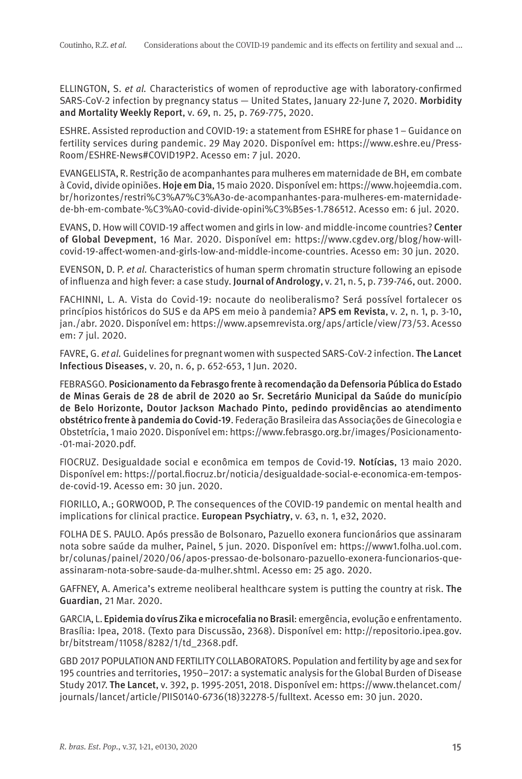ELLINGTON, S. et al. Characteristics of women of reproductive age with laboratory-confirmed SARS-CoV-2 infection by pregnancy status — United States, January 22-June 7, 2020. Morbidity and Mortality Weekly Report, v. 69, n. 25, p. 769-775, 2020.

ESHRE. Assisted reproduction and COVID-19: a statement from ESHRE for phase 1 – Guidance on fertility services during pandemic. 29 May 2020. Disponível em: https://www.eshre.eu/Press-Room/ESHRE-News#COVID19P2. Acesso em: 7 jul. 2020.

EVANGELISTA, R. Restrição de acompanhantes para mulheres em maternidade de BH, em combate à Covid, divide opiniões. Hoje em Dia, 15 maio 2020. Disponível em: https://www.hojeemdia.com. br/horizontes/restri%C3%A7%C3%A3o-de-acompanhantes-para-mulheres-em-maternidadede-bh-em-combate-%C3%A0-covid-divide-opini%C3%B5es-1.786512. Acesso em: 6 jul. 2020.

EVANS, D. How will COVID-19 affect women and girls in low- and middle-income countries? Center of Global Devepment, 16 Mar. 2020. Disponível em: https://www.cgdev.org/blog/how-willcovid-19-affect-women-and-girls-low-and-middle-income-countries. Acesso em: 30 jun. 2020.

EVENSON, D. P. et al. Characteristics of human sperm chromatin structure following an episode of influenza and high fever: a case study. Journal of Andrology, v. 21, n. 5, p. 739-746, out. 2000.

FACHINNI, L. A. Vista do Covid-19: nocaute do neoliberalismo? Será possível fortalecer os princípios históricos do SUS e da APS em meio à pandemia? APS em Revista, v. 2, n. 1, p. 3-10, jan./abr. 2020. Disponível em: https://www.apsemrevista.org/aps/article/view/73/53. Acesso em: 7 jul. 2020.

FAVRE, G. et al. Guidelines for pregnant women with suspected SARS-CoV-2 infection. The Lancet Infectious Diseases, v. 20, n. 6, p. 652-653, 1 Jun. 2020.

FEBRASGO. Posicionamento da Febrasgo frente à recomendação da Defensoria Pública do Estado de Minas Gerais de 28 de abril de 2020 ao Sr. Secretário Municipal da Saúde do município de Belo Horizonte, Doutor Jackson Machado Pinto, pedindo providências ao atendimento obstétrico frente à pandemia do Covid-19. Federação Brasileira das Associações de Ginecologia e Obstetrícia, 1 maio 2020. Disponível em: https://www.febrasgo.org.br/images/Posicionamento- -01-mai-2020.pdf.

FIOCRUZ. Desigualdade social e econômica em tempos de Covid-19. Notícias, 13 maio 2020. Disponível em: https://portal.fiocruz.br/noticia/desigualdade-social-e-economica-em-temposde-covid-19. Acesso em: 30 jun. 2020.

FIORILLO, A.; GORWOOD, P. The consequences of the COVID-19 pandemic on mental health and implications for clinical practice. European Psychiatry, v. 63, n. 1, e32, 2020.

FOLHA DE S. PAULO. Após pressão de Bolsonaro, Pazuello exonera funcionários que assinaram nota sobre saúde da mulher, Painel, 5 jun. 2020. Disponível em: https://www1.folha.uol.com. br/colunas/painel/2020/06/apos-pressao-de-bolsonaro-pazuello-exonera-funcionarios-queassinaram-nota-sobre-saude-da-mulher.shtml. Acesso em: 25 ago. 2020.

GAFFNEY, A. America's extreme neoliberal healthcare system is putting the country at risk. The Guardian, 21 Mar. 2020.

GARCIA, L. Epidemia do vírus Zika e microcefalia no Brasil: emergência, evolução e enfrentamento. Brasília: Ipea, 2018. (Texto para Discussão, 2368). Disponível em: http://repositorio.ipea.gov. br/bitstream/11058/8282/1/td\_2368.pdf.

GBD 2017 POPULATION AND FERTILITY COLLABORATORS. Population and fertility by age and sex for 195 countries and territories, 1950–2017: a systematic analysis for the Global Burden of Disease Study 2017. The Lancet, v. 392, p. 1995-2051, 2018. Disponível em: https://www.thelancet.com/ journals/lancet/article/PIIS0140-6736(18)32278-5/fulltext. Acesso em: 30 jun. 2020.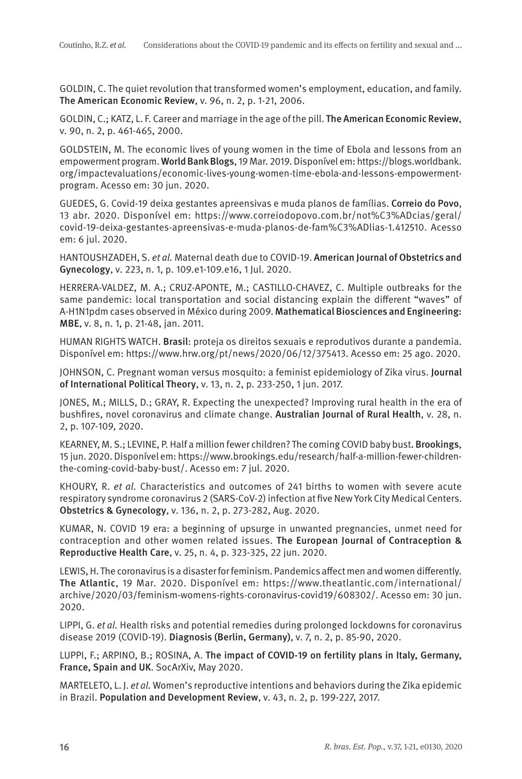GOLDIN, C. The quiet revolution that transformed women's employment, education, and family. The American Economic Review, v. 96, n. 2, p. 1-21, 2006.

GOLDIN, C.; KATZ, L. F. Career and marriage in the age of the pill. The American Economic Review, v. 90, n. 2, p. 461-465, 2000.

GOLDSTEIN, M. The economic lives of young women in the time of Ebola and lessons from an empowerment program. World Bank Blogs, 19 Mar. 2019. Disponível em: https://blogs.worldbank. org/impactevaluations/economic-lives-young-women-time-ebola-and-lessons-empowermentprogram. Acesso em: 30 jun. 2020.

GUEDES, G. Covid-19 deixa gestantes apreensivas e muda planos de famílias. Correio do Povo, 13 abr. 2020. Disponível em: https://www.correiodopovo.com.br/not%C3%ADcias/geral/ covid-19-deixa-gestantes-apreensivas-e-muda-planos-de-fam%C3%ADlias-1.412510. Acesso em: 6 jul. 2020.

HANTOUSHZADEH, S. et al. Maternal death due to COVID-19. American Journal of Obstetrics and Gynecology, v. 223, n. 1, p. 109.e1-109.e16, 1 Jul. 2020.

HERRERA-VALDEZ, M. A.; CRUZ-APONTE, M.; CASTILLO-CHAVEZ, C. Multiple outbreaks for the same pandemic: local transportation and social distancing explain the different "waves" of A-H1N1pdm cases observed in México during 2009. Mathematical Biosciences and Engineering: MBE, v. 8, n. 1, p. 21-48, jan. 2011.

HUMAN RIGHTS WATCH. Brasil: proteja os direitos sexuais e reprodutivos durante a pandemia. Disponível em: https://www.hrw.org/pt/news/2020/06/12/375413. Acesso em: 25 ago. 2020.

JOHNSON, C. Pregnant woman versus mosquito: a feminist epidemiology of Zika virus. Journal of International Political Theory, v. 13, n. 2, p. 233-250, 1 jun. 2017.

JONES, M.; MILLS, D.; GRAY, R. Expecting the unexpected? Improving rural health in the era of bushfires, novel coronavirus and climate change. Australian Journal of Rural Health, v. 28, n. 2, p. 107-109, 2020.

KEARNEY, M. S.; LEVINE, P. Half a million fewer children? The coming COVID baby bust. Brookings, 15 jun. 2020. Disponível em: https://www.brookings.edu/research/half-a-million-fewer-childrenthe-coming-covid-baby-bust/. Acesso em: 7 jul. 2020.

KHOURY, R. et al. Characteristics and outcomes of 241 births to women with severe acute respiratory syndrome coronavirus 2 (SARS-CoV-2) infection at five New York City Medical Centers. Obstetrics & Gynecology, v. 136, n. 2, p. 273-282, Aug. 2020.

KUMAR, N. COVID 19 era: a beginning of upsurge in unwanted pregnancies, unmet need for contraception and other women related issues. The European Journal of Contraception & Reproductive Health Care, v. 25, n. 4, p. 323-325, 22 jun. 2020.

LEWIS, H. The coronavirus is a disaster for feminism. Pandemics affect men and women differently. The Atlantic, 19 Mar. 2020. Disponível em: https://www.theatlantic.com/international/ archive/2020/03/feminism-womens-rights-coronavirus-covid19/608302/. Acesso em: 30 jun. 2020.

LIPPI, G. et al. Health risks and potential remedies during prolonged lockdowns for coronavirus disease 2019 (COVID-19). Diagnosis (Berlin, Germany), v. 7, n. 2, p. 85-90, 2020.

LUPPI, F.; ARPINO, B.; ROSINA, A. The impact of COVID-19 on fertility plans in Italy, Germany, France, Spain and UK. SocArXiv, May 2020.

MARTELETO, L. J. et al. Women's reproductive intentions and behaviors during the Zika epidemic in Brazil. Population and Development Review, v. 43, n. 2, p. 199-227, 2017.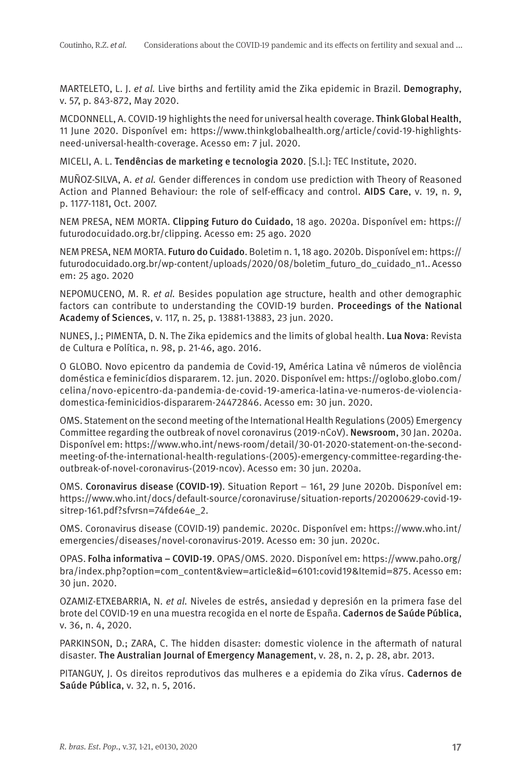MARTELETO, L. J. et al. Live births and fertility amid the Zika epidemic in Brazil. Demography, v. 57, p. 843-872, May 2020.

MCDONNELL, A. COVID-19 highlights the need for universal health coverage. Think Global Health, 11 June 2020. Disponível em: https://www.thinkglobalhealth.org/article/covid-19-highlightsneed-universal-health-coverage. Acesso em: 7 jul. 2020.

MICELI, A. L. Tendências de marketing e tecnologia 2020. [S.l.]: TEC Institute, 2020.

MUÑOZ-SILVA, A. et al. Gender differences in condom use prediction with Theory of Reasoned Action and Planned Behaviour: the role of self-efficacy and control. AIDS Care, v. 19, n. 9, p. 1177-1181, Oct. 2007.

NEM PRESA, NEM MORTA. Clipping Futuro do Cuidado, 18 ago. 2020a. Disponível em: https:// futurodocuidado.org.br/clipping. Acesso em: 25 ago. 2020

NEM PRESA, NEM MORTA. Futuro do Cuidado. Boletim n. 1, 18 ago. 2020b. Disponível em: https:// futurodocuidado.org.br/wp-content/uploads/2020/08/boletim\_futuro\_do\_cuidado\_n1.. Acesso em: 25 ago. 2020

NEPOMUCENO, M. R. et al. Besides population age structure, health and other demographic factors can contribute to understanding the COVID-19 burden. Proceedings of the National Academy of Sciences, v. 117, n. 25, p. 13881-13883, 23 jun. 2020.

NUNES, J.; PIMENTA, D. N. The Zika epidemics and the limits of global health. Lua Nova: Revista de Cultura e Política, n. 98, p. 21-46, ago. 2016.

O GLOBO. Novo epicentro da pandemia de Covid-19, América Latina vê números de violência doméstica e feminicídios dispararem. 12. jun. 2020. Disponível em: https://oglobo.globo.com/ celina/novo-epicentro-da-pandemia-de-covid-19-america-latina-ve-numeros-de-violenciadomestica-feminicidios-dispararem-24472846. Acesso em: 30 jun. 2020.

OMS. Statement on the second meeting of the International Health Regulations (2005) Emergency Committee regarding the outbreak of novel coronavirus (2019-nCoV). Newsroom, 30 Jan. 2020a. Disponível em: https://www.who.int/news-room/detail/30-01-2020-statement-on-the-secondmeeting-of-the-international-health-regulations-(2005)-emergency-committee-regarding-theoutbreak-of-novel-coronavirus-(2019-ncov). Acesso em: 30 jun. 2020a.

OMS. Coronavirus disease (COVID-19). Situation Report – 161, 29 June 2020b. Disponível em: https://www.who.int/docs/default-source/coronaviruse/situation-reports/20200629-covid-19 sitrep-161.pdf?sfvrsn=74fde64e\_2.

OMS. Coronavirus disease (COVID-19) pandemic. 2020c. Disponível em: https://www.who.int/ emergencies/diseases/novel-coronavirus-2019. Acesso em: 30 jun. 2020c.

OPAS. Folha informativa – COVID-19. OPAS/OMS. 2020. Disponível em: https://www.paho.org/ bra/index.php?option=com\_content&view=article&id=6101:covid19&Itemid=875. Acesso em: 30 jun. 2020.

OZAMIZ-ETXEBARRIA, N. et al. Niveles de estrés, ansiedad y depresión en la primera fase del brote del COVID-19 en una muestra recogida en el norte de España. Cadernos de Saúde Pública, v. 36, n. 4, 2020.

PARKINSON, D.; ZARA, C. The hidden disaster: domestic violence in the aftermath of natural disaster. The Australian Journal of Emergency Management, v. 28, n. 2, p. 28, abr. 2013.

PITANGUY, J. Os direitos reprodutivos das mulheres e a epidemia do Zika vírus. Cadernos de Saúde Pública, v. 32, n. 5, 2016.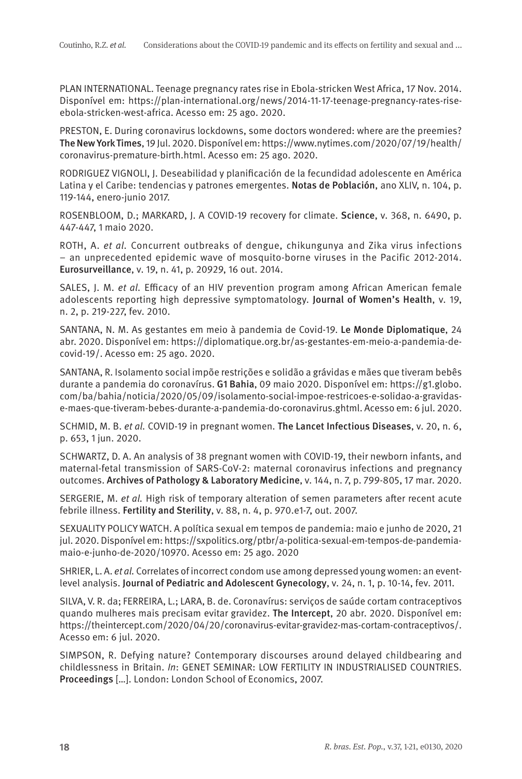PLAN INTERNATIONAL. Teenage pregnancy rates rise in Ebola-stricken West Africa, 17 Nov. 2014. Disponível em: https://plan-international.org/news/2014-11-17-teenage-pregnancy-rates-riseebola-stricken-west-africa. Acesso em: 25 ago. 2020.

PRESTON, E. During coronavirus lockdowns, some doctors wondered: where are the preemies? The New York Times, 19 Jul. 2020. Disponível em: https://www.nytimes.com/2020/07/19/health/ coronavirus-premature-birth.html. Acesso em: 25 ago. 2020.

RODRIGUEZ VIGNOLI, J. Deseabilidad y planificación de la fecundidad adolescente en América Latina y el Caribe: tendencias y patrones emergentes. Notas de Población, ano XLIV, n. 104, p. 119-144, enero-junio 2017.

ROSENBLOOM, D.; MARKARD, J. A COVID-19 recovery for climate. Science, v. 368, n. 6490, p. 447-447, 1 maio 2020.

ROTH, A. et al. Concurrent outbreaks of dengue, chikungunya and Zika virus infections – an unprecedented epidemic wave of mosquito-borne viruses in the Pacific 2012-2014. Eurosurveillance, v. 19, n. 41, p. 20929, 16 out. 2014.

SALES, J. M. et al. Efficacy of an HIV prevention program among African American female adolescents reporting high depressive symptomatology. Journal of Women's Health, v. 19, n. 2, p. 219-227, fev. 2010.

SANTANA, N. M. As gestantes em meio à pandemia de Covid-19. Le Monde Diplomatique, 24 abr. 2020. Disponível em: https://diplomatique.org.br/as-gestantes-em-meio-a-pandemia-decovid-19/. Acesso em: 25 ago. 2020.

SANTANA, R. Isolamento social impõe restrições e solidão a grávidas e mães que tiveram bebês durante a pandemia do coronavírus. G1 Bahia, 09 maio 2020. Disponível em: https://g1.globo. com/ba/bahia/noticia/2020/05/09/isolamento-social-impoe-restricoes-e-solidao-a-gravidase-maes-que-tiveram-bebes-durante-a-pandemia-do-coronavirus.ghtml. Acesso em: 6 jul. 2020.

SCHMID, M. B. et al. COVID-19 in pregnant women. The Lancet Infectious Diseases, v. 20, n. 6, p. 653, 1 jun. 2020.

SCHWARTZ, D. A. An analysis of 38 pregnant women with COVID-19, their newborn infants, and maternal-fetal transmission of SARS-CoV-2: maternal coronavirus infections and pregnancy outcomes. Archives of Pathology & Laboratory Medicine, v. 144, n. 7, p. 799-805, 17 mar. 2020.

SERGERIE, M. et al. High risk of temporary alteration of semen parameters after recent acute febrile illness. Fertility and Sterility, v. 88, n. 4, p. 970.e1-7, out. 2007.

SEXUALITY POLICY WATCH. A política sexual em tempos de pandemia: maio e junho de 2020, 21 jul. 2020. Disponível em: https://sxpolitics.org/ptbr/a-politica-sexual-em-tempos-de-pandemiamaio-e-junho-de-2020/10970. Acesso em: 25 ago. 2020

SHRIER, L. A. et al. Correlates of incorrect condom use among depressed young women: an eventlevel analysis. Journal of Pediatric and Adolescent Gynecology, v. 24, n. 1, p. 10-14, fev. 2011.

SILVA, V. R. da; FERREIRA, L.; LARA, B. de. Coronavírus: serviços de saúde cortam contraceptivos quando mulheres mais precisam evitar gravidez. The Intercept, 20 abr. 2020. Disponível em: https://theintercept.com/2020/04/20/coronavirus-evitar-gravidez-mas-cortam-contraceptivos/. Acesso em: 6 jul. 2020.

SIMPSON, R. Defying nature? Contemporary discourses around delayed childbearing and childlessness in Britain. In: GENET SEMINAR: LOW FERTILITY IN INDUSTRIALISED COUNTRIES. Proceedings […]. London: London School of Economics, 2007.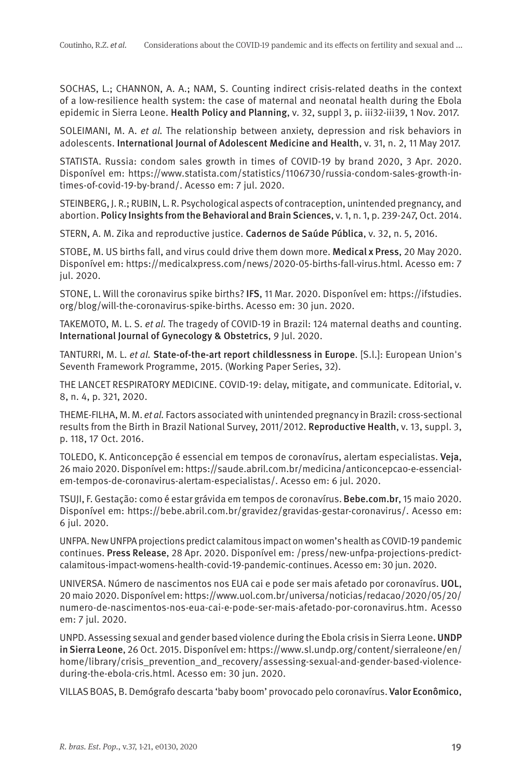SOCHAS, L.; CHANNON, A. A.; NAM, S. Counting indirect crisis-related deaths in the context of a low-resilience health system: the case of maternal and neonatal health during the Ebola epidemic in Sierra Leone. Health Policy and Planning, v. 32, suppl 3, p. iii32-iii39, 1 Nov. 2017.

SOLEIMANI, M. A. et al. The relationship between anxiety, depression and risk behaviors in adolescents. International Journal of Adolescent Medicine and Health, v. 31, n. 2, 11 May 2017.

STATISTA. Russia: condom sales growth in times of COVID-19 by brand 2020, 3 Apr. 2020. Disponível em: https://www.statista.com/statistics/1106730/russia-condom-sales-growth-intimes-of-covid-19-by-brand/. Acesso em: 7 jul. 2020.

STEINBERG, J. R.; RUBIN, L. R. Psychological aspects of contraception, unintended pregnancy, and abortion. Policy Insights from the Behavioral and Brain Sciences, v. 1, n. 1, p. 239-247, Oct. 2014.

STERN, A. M. Zika and reproductive justice. Cadernos de Saúde Pública, v. 32, n. 5, 2016.

STOBE, M. US births fall, and virus could drive them down more. Medical x Press, 20 May 2020. Disponível em: https://medicalxpress.com/news/2020-05-births-fall-virus.html. Acesso em: 7 jul. 2020.

STONE, L. Will the coronavirus spike births? IFS, 11 Mar. 2020. Disponível em: https://ifstudies. org/blog/will-the-coronavirus-spike-births. Acesso em: 30 jun. 2020.

TAKEMOTO, M. L. S. et al. The tragedy of COVID-19 in Brazil: 124 maternal deaths and counting. International Journal of Gynecology & Obstetrics, 9 Jul. 2020.

TANTURRI, M. L. et al. State-of-the-art report childlessness in Europe. [S.l.]: European Union's Seventh Framework Programme, 2015. (Working Paper Series, 32).

THE LANCET RESPIRATORY MEDICINE. COVID-19: delay, mitigate, and communicate. Editorial, v. 8, n. 4, p. 321, 2020.

THEME-FILHA, M. M. et al. Factors associated with unintended pregnancy in Brazil: cross-sectional results from the Birth in Brazil National Survey, 2011/2012. Reproductive Health, v. 13, suppl. 3, p. 118, 17 Oct. 2016.

TOLEDO, K. Anticoncepção é essencial em tempos de coronavírus, alertam especialistas. Veja, 26 maio 2020. Disponível em: https://saude.abril.com.br/medicina/anticoncepcao-e-essencialem-tempos-de-coronavirus-alertam-especialistas/. Acesso em: 6 jul. 2020.

TSUJI, F. Gestação: como é estar grávida em tempos de coronavírus. Bebe.com.br, 15 maio 2020. Disponível em: https://bebe.abril.com.br/gravidez/gravidas-gestar-coronavirus/. Acesso em: 6 jul. 2020.

UNFPA. New UNFPA projections predict calamitous impact on women's health as COVID-19 pandemic continues. Press Release, 28 Apr. 2020. Disponível em: /press/new-unfpa-projections-predictcalamitous-impact-womens-health-covid-19-pandemic-continues. Acesso em: 30 jun. 2020.

UNIVERSA. Número de nascimentos nos EUA cai e pode ser mais afetado por coronavírus. UOL, 20 maio 2020. Disponível em: https://www.uol.com.br/universa/noticias/redacao/2020/05/20/ numero-de-nascimentos-nos-eua-cai-e-pode-ser-mais-afetado-por-coronavirus.htm. Acesso em: 7 jul. 2020.

UNPD. Assessing sexual and gender based violence during the Ebola crisis in Sierra Leone. UNDP in Sierra Leone, 26 Oct. 2015. Disponível em: https://www.sl.undp.org/content/sierraleone/en/ home/library/crisis\_prevention\_and\_recovery/assessing-sexual-and-gender-based-violenceduring-the-ebola-cris.html. Acesso em: 30 jun. 2020.

VILLAS BOAS, B. Demógrafo descarta 'baby boom' provocado pelo coronavírus. Valor Econômico,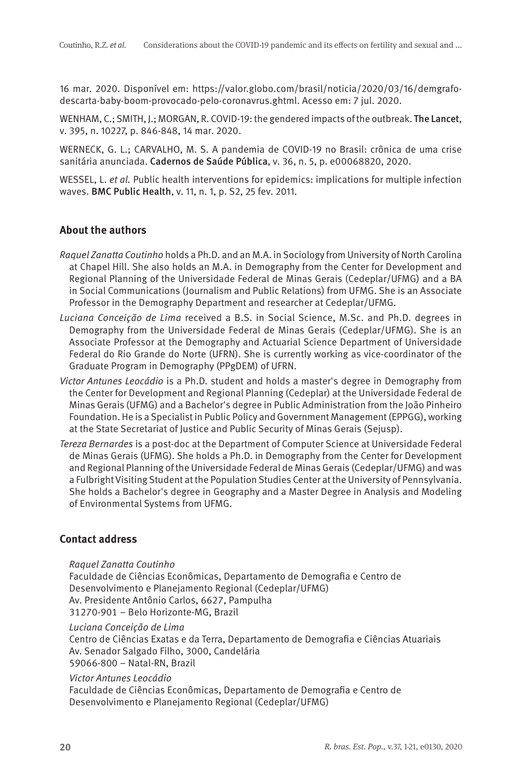16 mar. 2020. Disponível em: https://valor.globo.com/brasil/noticia/2020/03/16/demgrafodescarta-baby-boom-provocado-pelo-coronavrus.ghtml. Acesso em: 7 jul. 2020.

WENHAM, C.; SMITH, J.; MORGAN, R. COVID-19: the gendered impacts of the outbreak. The Lancet, v. 395, n. 10227, p. 846-848, 14 mar. 2020.

WERNECK, G. L.; CARVALHO, M. S. A pandemia de COVID-19 no Brasil: crônica de uma crise sanitária anunciada. Cadernos de Saúde Pública, v. 36, n. 5, p. e00068820, 2020.

WESSEL, L. et al. Public health interventions for epidemics: implications for multiple infection waves. BMC Public Health, v. 11, n. 1, p. S2, 25 fev. 2011.

## **About the authors**

- Raquel Zanatta Coutinho holds a Ph.D. and an M.A. in Sociology from University of North Carolina at Chapel Hill. She also holds an M.A. in Demography from the Center for Development and Regional Planning of the Universidade Federal de Minas Gerais (Cedeplar/UFMG) and a BA in Social Communications (Journalism and Public Relations) from UFMG. She is an Associate Professor in the Demography Department and researcher at Cedeplar/UFMG.
- Luciana Conceição de Lima received a B.S. in Social Science, M.Sc. and Ph.D. degrees in Demography from the Universidade Federal de Minas Gerais (Cedeplar/UFMG). She is an Associate Professor at the Demography and Actuarial Science Department of Universidade Federal do Rio Grande do Norte (UFRN). She is currently working as vice-coordinator of the Graduate Program in Demography (PPgDEM) of UFRN.
- Victor Antunes Leocádio is a Ph.D. student and holds a master's degree in Demography from the Center for Development and Regional Planning (Cedeplar) at the Universidade Federal de Minas Gerais (UFMG) and a Bachelor's degree in Public Administration from the João Pinheiro Foundation. He is a Specialist in Public Policy and Government Management (EPPGG), working at the State Secretariat of Justice and Public Security of Minas Gerais (Sejusp).
- Tereza Bernardes is a post-doc at the Department of Computer Science at Universidade Federal de Minas Gerais (UFMG). She holds a Ph.D. in Demography from the Center for Development and Regional Planning of the Universidade Federal de Minas Gerais (Cedeplar/UFMG) and was a Fulbright Visiting Student at the Population Studies Center at the University of Pennsylvania. She holds a Bachelor's degree in Geography and a Master Degree in Analysis and Modeling of Environmental Systems from UFMG.

## **Contact address**

Raquel Zanatta Coutinho

Faculdade de Ciências Econômicas, Departamento de Demografia e Centro de Desenvolvimento e Planejamento Regional (Cedeplar/UFMG) Av. Presidente Antônio Carlos, 6627, Pampulha 31270-901 – Belo Horizonte-MG, Brazil

Luciana Conceição de Lima

Centro de Ciências Exatas e da Terra, Departamento de Demografia e Ciências Atuariais Av. Senador Salgado Filho, 3000, Candelária

59066-800 – Natal-RN, Brazil

## Victor Antunes Leocádio

Faculdade de Ciências Econômicas, Departamento de Demografia e Centro de Desenvolvimento e Planejamento Regional (Cedeplar/UFMG)